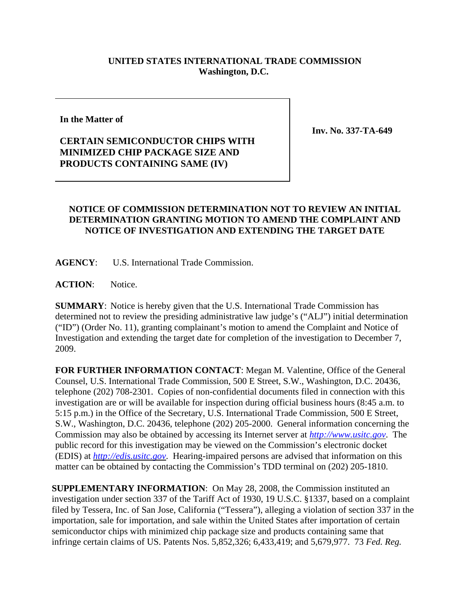## **UNITED STATES INTERNATIONAL TRADE COMMISSION Washington, D.C.**

## **In the Matter of**

**Inv. No. 337-TA-649**

## **CERTAIN SEMICONDUCTOR CHIPS WITH MINIMIZED CHIP PACKAGE SIZE AND PRODUCTS CONTAINING SAME (IV)**

## **NOTICE OF COMMISSION DETERMINATION NOT TO REVIEW AN INITIAL DETERMINATION GRANTING MOTION TO AMEND THE COMPLAINT AND NOTICE OF INVESTIGATION AND EXTENDING THE TARGET DATE**

**AGENCY**: U.S. International Trade Commission.

**ACTION**: Notice.

**SUMMARY**: Notice is hereby given that the U.S. International Trade Commission has determined not to review the presiding administrative law judge's ("ALJ") initial determination ("ID") (Order No. 11), granting complainant's motion to amend the Complaint and Notice of Investigation and extending the target date for completion of the investigation to December 7, 2009.

**FOR FURTHER INFORMATION CONTACT**: Megan M. Valentine, Office of the General Counsel, U.S. International Trade Commission, 500 E Street, S.W., Washington, D.C. 20436, telephone (202) 708-2301. Copies of non-confidential documents filed in connection with this investigation are or will be available for inspection during official business hours (8:45 a.m. to 5:15 p.m.) in the Office of the Secretary, U.S. International Trade Commission, 500 E Street, S.W., Washington, D.C. 20436, telephone (202) 205-2000. General information concerning the Commission may also be obtained by accessing its Internet server at *http://www.usitc.gov*. The public record for this investigation may be viewed on the Commission's electronic docket (EDIS) at *http://edis.usitc.gov*. Hearing-impaired persons are advised that information on this matter can be obtained by contacting the Commission's TDD terminal on (202) 205-1810.

**SUPPLEMENTARY INFORMATION**: On May 28, 2008, the Commission instituted an investigation under section 337 of the Tariff Act of 1930, 19 U.S.C. §1337, based on a complaint filed by Tessera, Inc. of San Jose, California ("Tessera"), alleging a violation of section 337 in the importation, sale for importation, and sale within the United States after importation of certain semiconductor chips with minimized chip package size and products containing same that infringe certain claims of US. Patents Nos. 5,852,326; 6,433,419; and 5,679,977. 73 *Fed. Reg.*